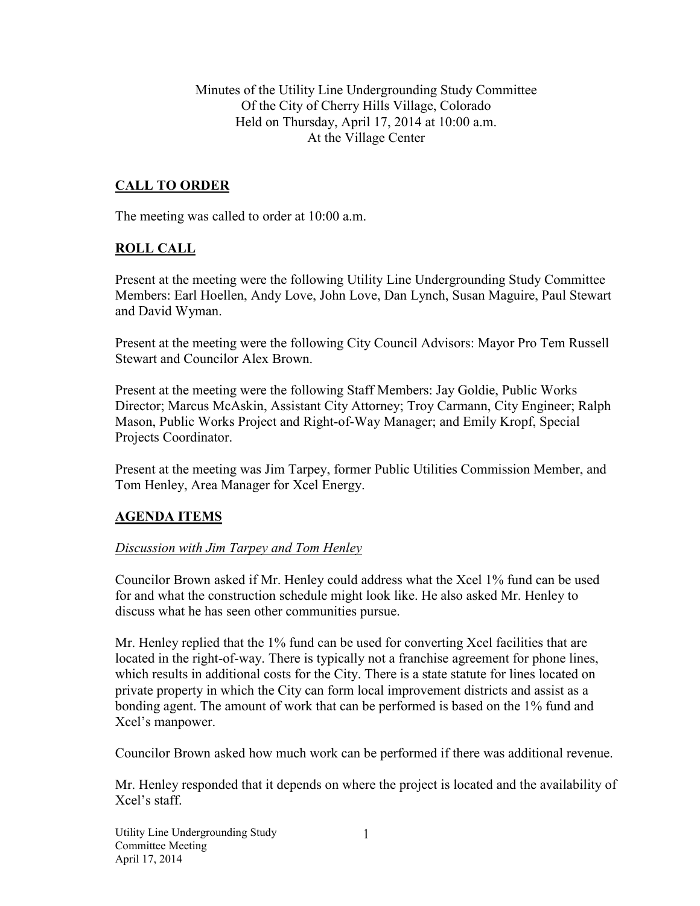Minutes of the Utility Line Undergrounding Study Committee Of the City of Cherry Hills Village, Colorado Held on Thursday, April 17, 2014 at 10:00 a.m. At the Village Center

## **CALL TO ORDER**

The meeting was called to order at 10:00 a.m.

### **ROLL CALL**

Present at the meeting were the following Utility Line Undergrounding Study Committee Members: Earl Hoellen, Andy Love, John Love, Dan Lynch, Susan Maguire, Paul Stewart and David Wyman.

Present at the meeting were the following City Council Advisors: Mayor Pro Tem Russell Stewart and Councilor Alex Brown.

Present at the meeting were the following Staff Members: Jay Goldie, Public Works Director; Marcus McAskin, Assistant City Attorney; Troy Carmann, City Engineer; Ralph Mason, Public Works Project and Right-of-Way Manager; and Emily Kropf, Special Projects Coordinator.

Present at the meeting was Jim Tarpey, former Public Utilities Commission Member, and Tom Henley, Area Manager for Xcel Energy.

#### **AGENDA ITEMS**

#### *Discussion with Jim Tarpey and Tom Henley*

Councilor Brown asked if Mr. Henley could address what the Xcel 1% fund can be used for and what the construction schedule might look like. He also asked Mr. Henley to discuss what he has seen other communities pursue.

Mr. Henley replied that the 1% fund can be used for converting Xcel facilities that are located in the right-of-way. There is typically not a franchise agreement for phone lines, which results in additional costs for the City. There is a state statute for lines located on private property in which the City can form local improvement districts and assist as a bonding agent. The amount of work that can be performed is based on the 1% fund and Xcel's manpower.

Councilor Brown asked how much work can be performed if there was additional revenue.

Mr. Henley responded that it depends on where the project is located and the availability of Xcel's staff.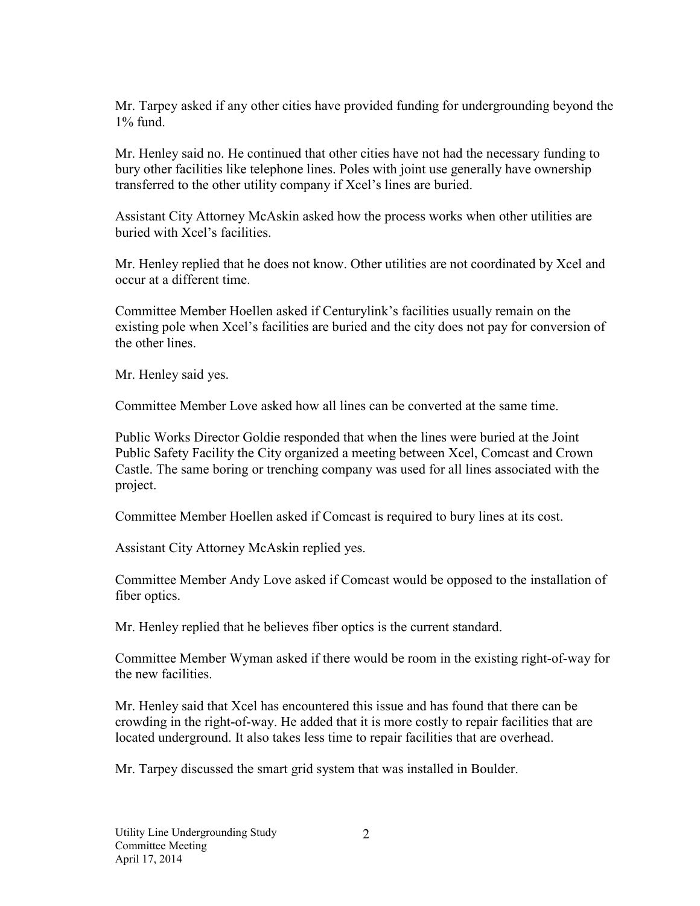Mr. Tarpey asked if any other cities have provided funding for undergrounding beyond the  $1\%$  fund.

Mr. Henley said no. He continued that other cities have not had the necessary funding to bury other facilities like telephone lines. Poles with joint use generally have ownership transferred to the other utility company if Xcel's lines are buried.

Assistant City Attorney McAskin asked how the process works when other utilities are buried with Xcel's facilities.

Mr. Henley replied that he does not know. Other utilities are not coordinated by Xcel and occur at a different time.

Committee Member Hoellen asked if Centurylink's facilities usually remain on the existing pole when Xcel's facilities are buried and the city does not pay for conversion of the other lines.

Mr. Henley said yes.

Committee Member Love asked how all lines can be converted at the same time.

Public Works Director Goldie responded that when the lines were buried at the Joint Public Safety Facility the City organized a meeting between Xcel, Comcast and Crown Castle. The same boring or trenching company was used for all lines associated with the project.

Committee Member Hoellen asked if Comcast is required to bury lines at its cost.

Assistant City Attorney McAskin replied yes.

Committee Member Andy Love asked if Comcast would be opposed to the installation of fiber optics.

Mr. Henley replied that he believes fiber optics is the current standard.

Committee Member Wyman asked if there would be room in the existing right-of-way for the new facilities.

Mr. Henley said that Xcel has encountered this issue and has found that there can be crowding in the right-of-way. He added that it is more costly to repair facilities that are located underground. It also takes less time to repair facilities that are overhead.

Mr. Tarpey discussed the smart grid system that was installed in Boulder.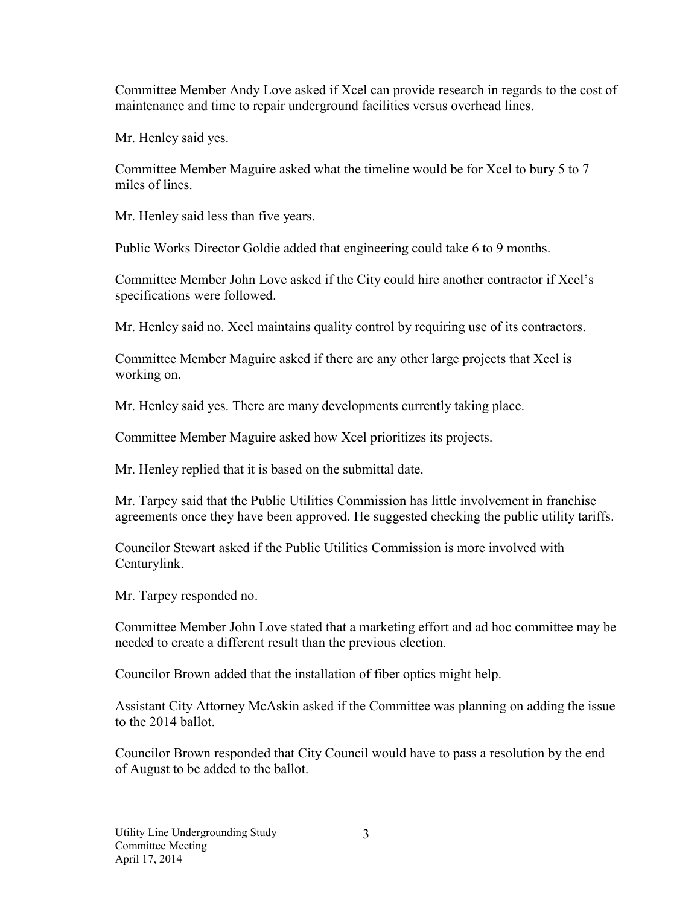Committee Member Andy Love asked if Xcel can provide research in regards to the cost of maintenance and time to repair underground facilities versus overhead lines.

Mr. Henley said yes.

Committee Member Maguire asked what the timeline would be for Xcel to bury 5 to 7 miles of lines.

Mr. Henley said less than five years.

Public Works Director Goldie added that engineering could take 6 to 9 months.

Committee Member John Love asked if the City could hire another contractor if Xcel's specifications were followed.

Mr. Henley said no. Xcel maintains quality control by requiring use of its contractors.

Committee Member Maguire asked if there are any other large projects that Xcel is working on.

Mr. Henley said yes. There are many developments currently taking place.

Committee Member Maguire asked how Xcel prioritizes its projects.

Mr. Henley replied that it is based on the submittal date.

Mr. Tarpey said that the Public Utilities Commission has little involvement in franchise agreements once they have been approved. He suggested checking the public utility tariffs.

Councilor Stewart asked if the Public Utilities Commission is more involved with Centurylink.

Mr. Tarpey responded no.

Committee Member John Love stated that a marketing effort and ad hoc committee may be needed to create a different result than the previous election.

Councilor Brown added that the installation of fiber optics might help.

Assistant City Attorney McAskin asked if the Committee was planning on adding the issue to the 2014 ballot.

Councilor Brown responded that City Council would have to pass a resolution by the end of August to be added to the ballot.